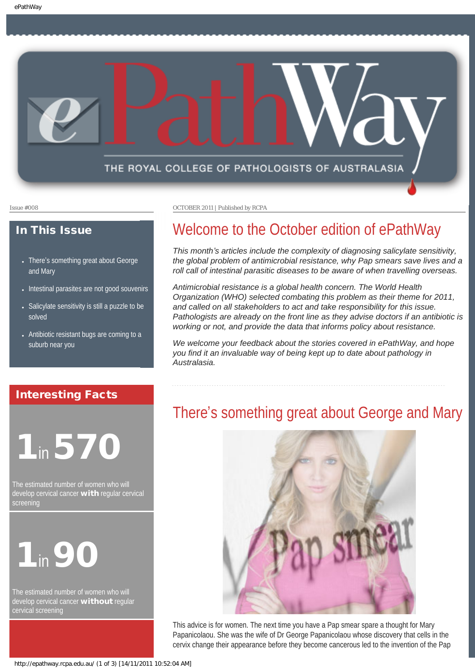

#### In This Issue

- There's something great about George [and Mary](#page-0-0)
- [Intestinal parasites are not good souvenirs](#page-1-0)
- [Salicylate sensitivity is still a puzzle to be](#page-1-1) [solved](#page-1-1)
- [Antibiotic resistant bugs are coming to a](#page-1-2) [suburb near you](#page-1-2)

#### <span id="page-0-0"></span>Interesting Facts

# 1in 570

The estimated number of women who will develop cervical cancer **with** regular cervical screening



The estimated number of women who will develop cervical cancer without regular cervical screening

Issue #008 OCTOBER 2011 | Published by RCPA

# Welcome to the October edition of ePathWay

*This month's articles include the complexity of diagnosing salicylate sensitivity, the global problem of antimicrobial resistance, why Pap smears save lives and a roll call of intestinal parasitic diseases to be aware of when travelling overseas.*

*Antimicrobial resistance is a global health concern. The World Health Organization (WHO) selected combating this problem as their theme for 2011, and called on all stakeholders to act and take responsibility for this issue. Pathologists are already on the front line as they advise doctors if an antibiotic is working or not, and provide the data that informs policy about resistance.* 

*We welcome your feedback about the stories covered in ePathWay, and hope you find it an invaluable way of being kept up to date about pathology in Australasia.*

## There's something great about George and Mary



This advice is for women. The next time you have a Pap smear spare a thought for Mary Papanicolaou. She was the wife of Dr George Papanicolaou whose discovery that cells in the cervix change their appearance before they become cancerous led to the invention of the Pap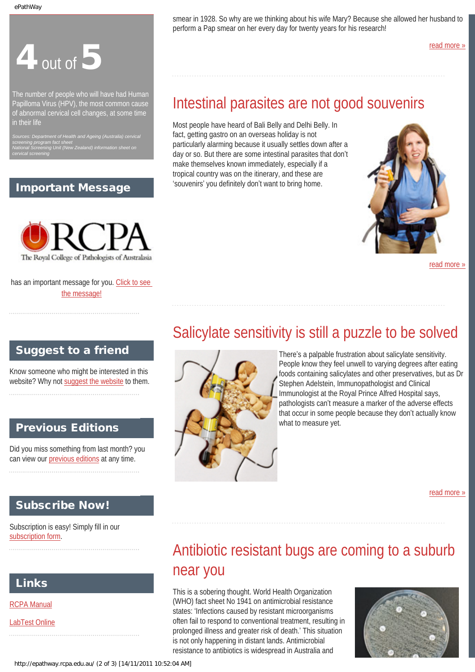# $4$  out of  $5$

<span id="page-1-0"></span>The number of people who will have had Human Papilloma Virus (HPV), the most common cause of abnormal cervical cell changes, at some time in their life

*screening program fact sheet National Screening Unit (New Zealand) information sheet on cervical screening*

#### Important Message



has an important message for you. [Click to see](http://epathway.rcpa.edu.au/notice.html)  [the message!](http://epathway.rcpa.edu.au/notice.html)

### <span id="page-1-1"></span>Suggest to a friend

Know someone who might be interested in this website? Why not [suggest the website](mailto:?Subject=I%20think%20you%20should%20read%20this%20Newsletter=
http://epathway.rcpa.edu.au/index.html) to them.

### Previous Editions

Did you miss something from last month? you can view our [previous editions](http://epathway.rcpa.edu.au/previous.html) at any time.

### Subscribe Now!

<span id="page-1-2"></span>Subscription is easy! Simply fill in our [subscription form.](http://epathway.rcpa.edu.au/subscription.html)

### Links

[RCPA Manual](http://rcpamanual.edu.au/)

[LabTest Online](http://www.labtestsonline.org.au/)

smear in 1928. So why are we thinking about his wife Mary? Because she allowed her husband to perform a Pap smear on her every day for twenty years for his research!

[read more »](#page-3-0)

# Intestinal parasites are not good souvenirs

Most people have heard of Bali Belly and Delhi Belly. In fact, getting gastro on an overseas holiday is not particularly alarming because it usually settles down after a day or so. But there are some intestinal parasites that don't make themselves known immediately, especially if a tropical country was on the itinerary, and these are 'souvenirs' you definitely don't want to bring home.



[read more »](#page-5-0)

# Salicylate sensitivity is still a puzzle to be solved



There's a palpable frustration about salicylate sensitivity. People know they feel unwell to varying degrees after eating foods containing salicylates and other preservatives, but as Dr Stephen Adelstein, Immunopathologist and Clinical Immunologist at the Royal Prince Alfred Hospital says, pathologists can't measure a marker of the adverse effects that occur in some people because they don't actually know what to measure yet.

[read more »](#page-7-0)

# Antibiotic resistant bugs are coming to a suburb near you

This is a sobering thought. World Health Organization (WHO) fact sheet No 1941 on antimicrobial resistance states: 'Infections caused by resistant microorganisms often fail to respond to conventional treatment, resulting in prolonged illness and greater risk of death.' This situation is not only happening in distant lands. Antimicrobial resistance to antibiotics is widespread in Australia and

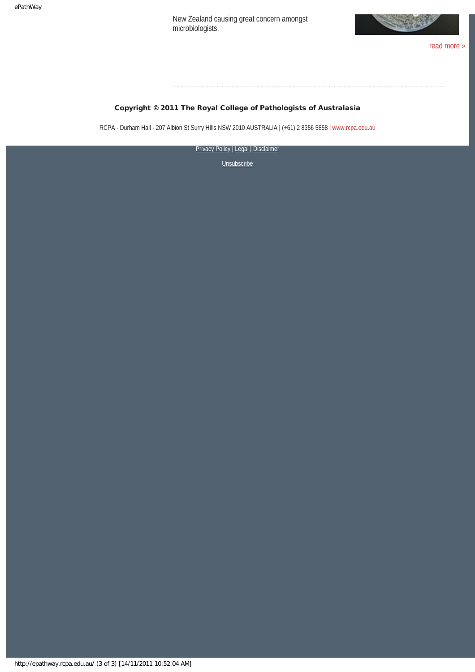New Zealand causing great concern amongst microbiologists.



#### Copyright © 2011 The Royal College of Pathologists of Australasia

RCPA - Durham Hall - 207 Albion St Surry Hills NSW 2010 AUSTRALIA | (+61) 2 8356 5858 | [www.rcpa.edu.au](http://www.rcpa.edu.au/)

[Privacy Policy](http://www.rcpa.edu.au/Privacy.htm) | [Legal](http://www.rcpa.edu.au/Legal.htm) | Disclaimer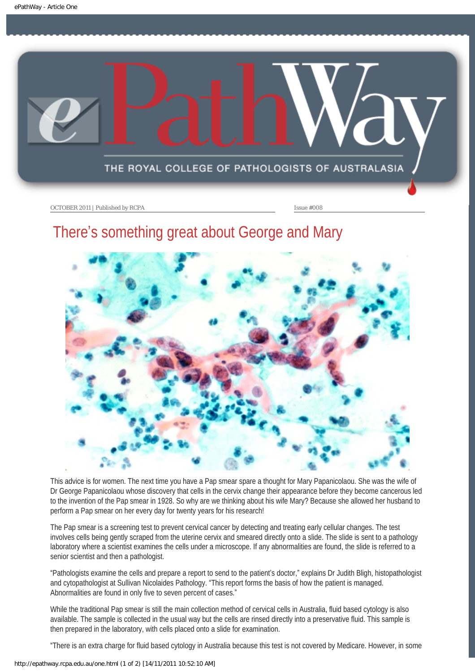<span id="page-3-0"></span>

# There's something great about George and Mary



This advice is for women. The next time you have a Pap smear spare a thought for Mary Papanicolaou. She was the wife of Dr George Papanicolaou whose discovery that cells in the cervix change their appearance before they become cancerous led to the invention of the Pap smear in 1928. So why are we thinking about his wife Mary? Because she allowed her husband to perform a Pap smear on her every day for twenty years for his research!

The Pap smear is a screening test to prevent cervical cancer by detecting and treating early cellular changes. The test involves cells being gently scraped from the uterine cervix and smeared directly onto a slide. The slide is sent to a pathology laboratory where a scientist examines the cells under a microscope. If any abnormalities are found, the slide is referred to a senior scientist and then a pathologist.

"Pathologists examine the cells and prepare a report to send to the patient's doctor," explains Dr Judith Bligh, histopathologist and cytopathologist at Sullivan Nicolaides Pathology. "This report forms the basis of how the patient is managed. Abnormalities are found in only five to seven percent of cases."

While the traditional Pap smear is still the main collection method of cervical cells in Australia, fluid based cytology is also available. The sample is collected in the usual way but the cells are rinsed directly into a preservative fluid. This sample is then prepared in the laboratory, with cells placed onto a slide for examination.

"There is an extra charge for fluid based cytology in Australia because this test is not covered by Medicare. However, in some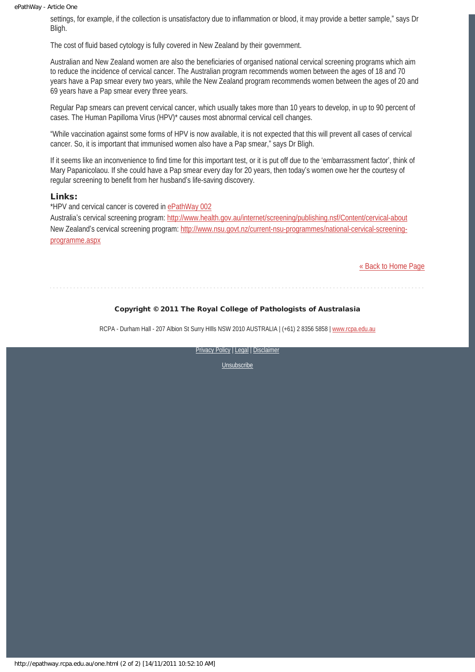#### ePathWay - Article One

settings, for example, if the collection is unsatisfactory due to inflammation or blood, it may provide a better sample," says Dr Bligh.

The cost of fluid based cytology is fully covered in New Zealand by their government.

Australian and New Zealand women are also the beneficiaries of organised national cervical screening programs which aim to reduce the incidence of cervical cancer. The Australian program recommends women between the ages of 18 and 70 years have a Pap smear every two years, while the New Zealand program recommends women between the ages of 20 and 69 years have a Pap smear every three years.

Regular Pap smears can prevent cervical cancer, which usually takes more than 10 years to develop, in up to 90 percent of cases. The Human Papilloma Virus (HPV)\* causes most abnormal cervical cell changes.

"While vaccination against some forms of HPV is now available, it is not expected that this will prevent all cases of cervical cancer. So, it is important that immunised women also have a Pap smear," says Dr Bligh.

If it seems like an inconvenience to find time for this important test, or it is put off due to the 'embarrassment factor', think of Mary Papanicolaou. If she could have a Pap smear every day for 20 years, then today's women owe her the courtesy of regular screening to benefit from her husband's life-saving discovery.

#### Links:

\*HPV and cervical cancer is covered in [ePathWay 002](http://epathway.rcpa.edu.au/previous/epathway_002.pdf)

Australia's cervical screening program:<http://www.health.gov.au/internet/screening/publishing.nsf/Content/cervical-about> New Zealand's cervical screening program: [http://www.nsu.govt.nz/current-nsu-programmes/national-cervical-screening](http://www.nsu.govt.nz/current-nsu-programmes/national-cervical-screening-programme.aspx)[programme.aspx](http://www.nsu.govt.nz/current-nsu-programmes/national-cervical-screening-programme.aspx)

[« Back to Home Page](http://epathway.rcpa.edu.au/index.html)

### Copyright © 2011 The Royal College of Pathologists of Australasia

RCPA - Durham Hall - 207 Albion St Surry HIlls NSW 2010 AUSTRALIA | (+61) 2 8356 5858 | [www.rcpa.edu.au](http://www.rcpa.edu.au/)

**[Privacy Policy](http://www.rcpa.edu.au/Privacy.htm) | [Legal](http://www.rcpa.edu.au/Legal.htm) | Disclaimer**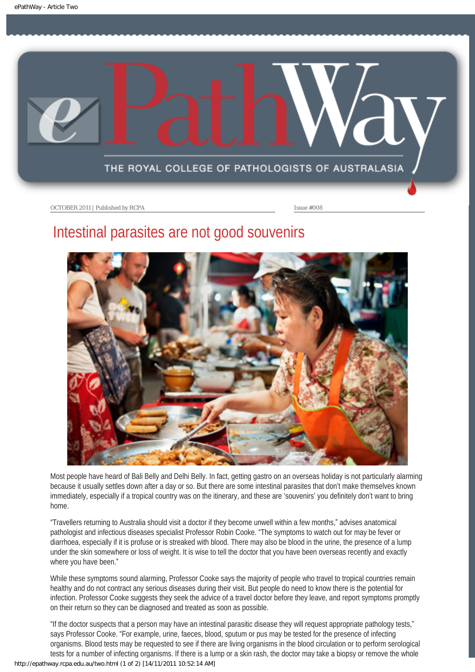<span id="page-5-0"></span>

## Intestinal parasites are not good souvenirs



Most people have heard of Bali Belly and Delhi Belly. In fact, getting gastro on an overseas holiday is not particularly alarming because it usually settles down after a day or so. But there are some intestinal parasites that don't make themselves known immediately, especially if a tropical country was on the itinerary, and these are 'souvenirs' you definitely don't want to bring home.

"Travellers returning to Australia should visit a doctor if they become unwell within a few months," advises anatomical pathologist and infectious diseases specialist Professor Robin Cooke. "The symptoms to watch out for may be fever or diarrhoea, especially if it is profuse or is streaked with blood. There may also be blood in the urine, the presence of a lump under the skin somewhere or loss of weight. It is wise to tell the doctor that you have been overseas recently and exactly where you have been."

While these symptoms sound alarming, Professor Cooke says the majority of people who travel to tropical countries remain healthy and do not contract any serious diseases during their visit. But people do need to know there is the potential for infection. Professor Cooke suggests they seek the advice of a travel doctor before they leave, and report symptoms promptly on their return so they can be diagnosed and treated as soon as possible.

"If the doctor suspects that a person may have an intestinal parasitic disease they will request appropriate pathology tests," says Professor Cooke. "For example, urine, faeces, blood, sputum or pus may be tested for the presence of infecting organisms. Blood tests may be requested to see if there are living organisms in the blood circulation or to perform serological tests for a number of infecting organisms. If there is a lump or a skin rash, the doctor may take a biopsy or remove the whole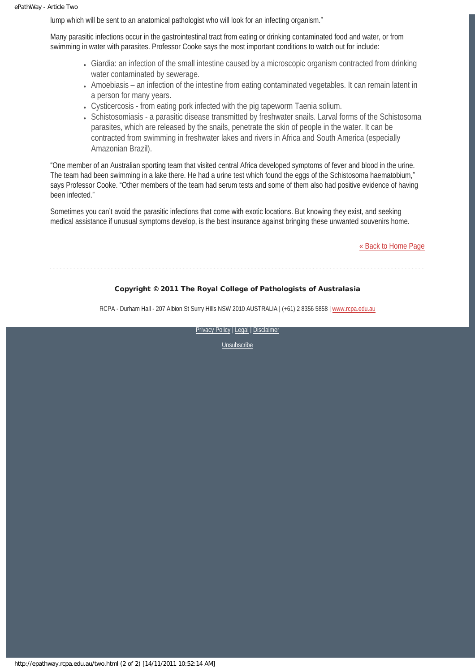lump which will be sent to an anatomical pathologist who will look for an infecting organism."

Many parasitic infections occur in the gastrointestinal tract from eating or drinking contaminated food and water, or from swimming in water with parasites. Professor Cooke says the most important conditions to watch out for include:

- Giardia: an infection of the small intestine caused by a microscopic organism contracted from drinking water contaminated by sewerage.
- Amoebiasis an infection of the intestine from eating contaminated vegetables. It can remain latent in a person for many years.
- Cysticercosis from eating pork infected with the pig tapeworm Taenia solium.
- Schistosomiasis a parasitic disease transmitted by freshwater snails. Larval forms of the Schistosoma parasites, which are released by the snails, penetrate the skin of people in the water. It can be contracted from swimming in freshwater lakes and rivers in Africa and South America (especially Amazonian Brazil).

"One member of an Australian sporting team that visited central Africa developed symptoms of fever and blood in the urine. The team had been swimming in a lake there. He had a urine test which found the eggs of the Schistosoma haematobium," says Professor Cooke. "Other members of the team had serum tests and some of them also had positive evidence of having been infected."

Sometimes you can't avoid the parasitic infections that come with exotic locations. But knowing they exist, and seeking medical assistance if unusual symptoms develop, is the best insurance against bringing these unwanted souvenirs home.

[« Back to Home Page](http://epathway.rcpa.edu.au/index.html)

#### Copyright © 2011 The Royal College of Pathologists of Australasia

RCPA - Durham Hall - 207 Albion St Surry Hills NSW 2010 AUSTRALIA | (+61) 2 8356 5858 | [www.rcpa.edu.au](http://www.rcpa.edu.au/)

[Privacy Policy](http://www.rcpa.edu.au/Privacy.htm) | [Legal](http://www.rcpa.edu.au/Legal.htm) | Disclaimer

[Unsubscribe](http://epathway.rcpa.edu.au/subscription.html)

http://epathway.rcpa.edu.au/two.html (2 of 2) [14/11/2011 10:52:14 AM]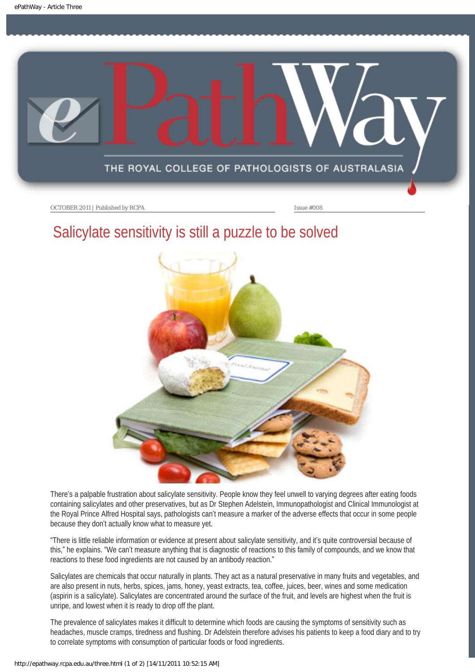<span id="page-7-0"></span>

# Salicylate sensitivity is still a puzzle to be solved



There's a palpable frustration about salicylate sensitivity. People know they feel unwell to varying degrees after eating foods containing salicylates and other preservatives, but as Dr Stephen Adelstein, Immunopathologist and Clinical Immunologist at the Royal Prince Alfred Hospital says, pathologists can't measure a marker of the adverse effects that occur in some people because they don't actually know what to measure yet.

"There is little reliable information or evidence at present about salicylate sensitivity, and it's quite controversial because of this," he explains. "We can't measure anything that is diagnostic of reactions to this family of compounds, and we know that reactions to these food ingredients are not caused by an antibody reaction."

Salicylates are chemicals that occur naturally in plants. They act as a natural preservative in many fruits and vegetables, and are also present in nuts, herbs, spices, jams, honey, yeast extracts, tea, coffee, juices, beer, wines and some medication (aspirin is a salicylate). Salicylates are concentrated around the surface of the fruit, and levels are highest when the fruit is unripe, and lowest when it is ready to drop off the plant.

The prevalence of salicylates makes it difficult to determine which foods are causing the symptoms of sensitivity such as headaches, muscle cramps, tiredness and flushing. Dr Adelstein therefore advises his patients to keep a food diary and to try to correlate symptoms with consumption of particular foods or food ingredients.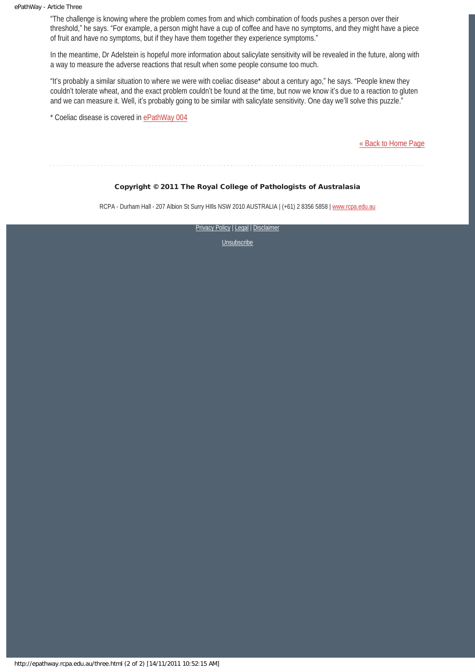"The challenge is knowing where the problem comes from and which combination of foods pushes a person over their threshold," he says. "For example, a person might have a cup of coffee and have no symptoms, and they might have a piece of fruit and have no symptoms, but if they have them together they experience symptoms."

In the meantime, Dr Adelstein is hopeful more information about salicylate sensitivity will be revealed in the future, along with a way to measure the adverse reactions that result when some people consume too much.

"It's probably a similar situation to where we were with coeliac disease\* about a century ago," he says. "People knew they couldn't tolerate wheat, and the exact problem couldn't be found at the time, but now we know it's due to a reaction to gluten and we can measure it. Well, it's probably going to be similar with salicylate sensitivity. One day we'll solve this puzzle."

\* Coeliac disease is covered in [ePathWay 004](http://epathway.rcpa.edu.au/previous/epathway_004.pdf)

[« Back to Home Page](http://epathway.rcpa.edu.au/index.html)

Copyright © 2011 The Royal College of Pathologists of Australasia

RCPA - Durham Hall - 207 Albion St Surry HIlls NSW 2010 AUSTRALIA | (+61) 2 8356 5858 | [www.rcpa.edu.au](http://www.rcpa.edu.au/)

**[Privacy Policy](http://www.rcpa.edu.au/Privacy.htm) | [Legal](http://www.rcpa.edu.au/Legal.htm) | Disclaimer**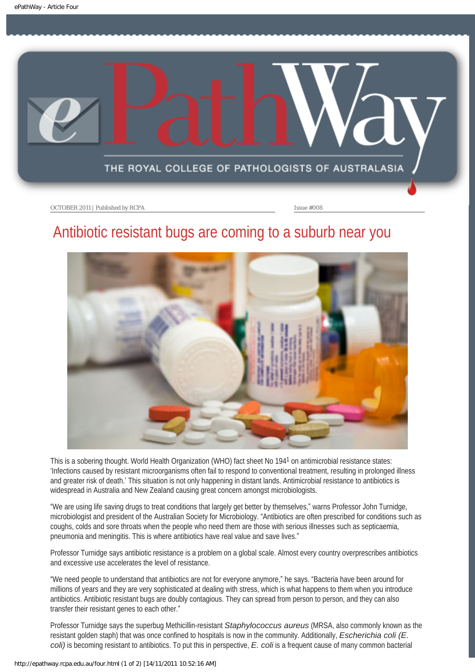<span id="page-9-0"></span>

## Antibiotic resistant bugs are coming to a suburb near you



This is a sobering thought. World Health Organization (WHO) fact sheet No 194<sup>1</sup> on antimicrobial resistance states: 'Infections caused by resistant microorganisms often fail to respond to conventional treatment, resulting in prolonged illness and greater risk of death.' This situation is not only happening in distant lands. Antimicrobial resistance to antibiotics is widespread in Australia and New Zealand causing great concern amongst microbiologists.

"We are using life saving drugs to treat conditions that largely get better by themselves," warns Professor John Turnidge, microbiologist and president of the Australian Society for Microbiology. "Antibiotics are often prescribed for conditions such as coughs, colds and sore throats when the people who need them are those with serious illnesses such as septicaemia, pneumonia and meningitis. This is where antibiotics have real value and save lives."

Professor Turnidge says antibiotic resistance is a problem on a global scale. Almost every country overprescribes antibiotics and excessive use accelerates the level of resistance.

"We need people to understand that antibiotics are not for everyone anymore," he says. "Bacteria have been around for millions of years and they are very sophisticated at dealing with stress, which is what happens to them when you introduce antibiotics. Antibiotic resistant bugs are doubly contagious. They can spread from person to person, and they can also transfer their resistant genes to each other."

Professor Turnidge says the superbug Methicillin-resistant *Staphylococcus aureus* (MRSA, also commonly known as the resistant golden staph) that was once confined to hospitals is now in the community. Additionally, *Escherichia coli (E. coli)* is becoming resistant to antibiotics. To put this in perspective, *E. coli* is a frequent cause of many common bacterial